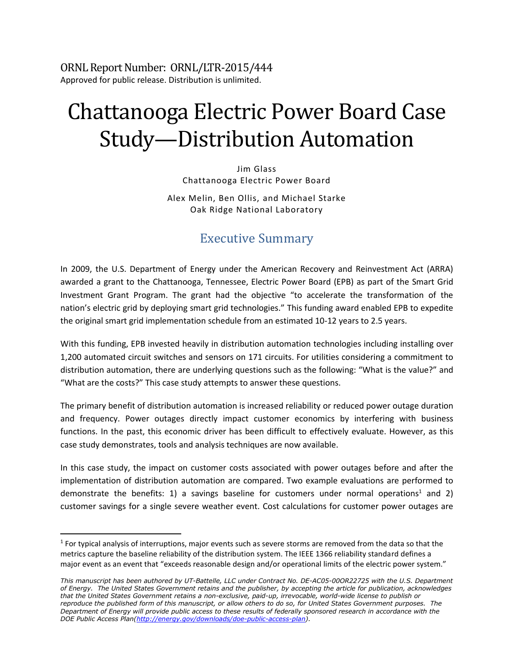ORNL Report Number: ORNL/LTR-2015/444 Approved for public release. Distribution is unlimited.

# Chattanooga Electric Power Board Case Study—Distribution Automation

Jim Glass Chattanooga Electric Power Board

Alex Melin, Ben Ollis, and Michael Starke Oak Ridge National Laboratory

# Executive Summary

In 2009, the U.S. Department of Energy under the American Recovery and Reinvestment Act (ARRA) awarded a grant to the Chattanooga, Tennessee, Electric Power Board (EPB) as part of the Smart Grid Investment Grant Program. The grant had the objective "to accelerate the transformation of the nation's electric grid by deploying smart grid technologies." This funding award enabled EPB to expedite the original smart grid implementation schedule from an estimated 10-12 years to 2.5 years.

With this funding, EPB invested heavily in distribution automation technologies including installing over 1,200 automated circuit switches and sensors on 171 circuits. For utilities considering a commitment to distribution automation, there are underlying questions such as the following: "What is the value?" and "What are the costs?" This case study attempts to answer these questions.

The primary benefit of distribution automation is increased reliability or reduced power outage duration and frequency. Power outages directly impact customer economics by interfering with business functions. In the past, this economic driver has been difficult to effectively evaluate. However, as this case study demonstrates, tools and analysis techniques are now available.

In this case study, the impact on customer costs associated with power outages before and after the implementation of distribution automation are compared. Two example evaluations are performed to demonstrate the benefits: 1) a savings baseline for customers under normal operations<sup>1</sup> and 2) customer savings for a single severe weather event. Cost calculations for customer power outages are

 $<sup>1</sup>$  For typical analysis of interruptions, major events such as severe storms are removed from the data so that the</sup> metrics capture the baseline reliability of the distribution system. The IEEE 1366 reliability standard defines a major event as an event that "exceeds reasonable design and/or operational limits of the electric power system."

*This manuscript has been authored by UT-Battelle, LLC under Contract No. DE-AC05-00OR22725 with the U.S. Department of Energy. The United States Government retains and the publisher, by accepting the article for publication, acknowledges that the United States Government retains a non-exclusive, paid-up, irrevocable, world-wide license to publish or reproduce the published form of this manuscript, or allow others to do so, for United States Government purposes. The Department of Energy will provide public access to these results of federally sponsored research in accordance with the DOE Public Access Plan[\(http://energy.gov/downloads/doe-public-access-plan\)](http://energy.gov/downloads/doe-public-access-plan).*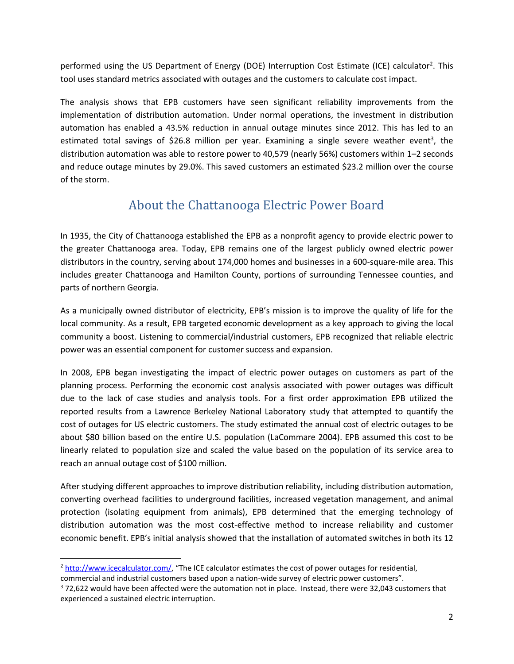performed using the US Department of Energy (DOE) Interruption Cost Estimate (ICE) calculator<sup>2</sup>. This tool uses standard metrics associated with outages and the customers to calculate cost impact.

The analysis shows that EPB customers have seen significant reliability improvements from the implementation of distribution automation. Under normal operations, the investment in distribution automation has enabled a 43.5% reduction in annual outage minutes since 2012. This has led to an estimated total savings of \$26.8 million per year. Examining a single severe weather event<sup>3</sup>, the distribution automation was able to restore power to 40,579 (nearly 56%) customers within 1–2 seconds and reduce outage minutes by 29.0%. This saved customers an estimated \$23.2 million over the course of the storm.

# About the Chattanooga Electric Power Board

In 1935, the City of Chattanooga established the EPB as a nonprofit agency to provide electric power to the greater Chattanooga area. Today, EPB remains one of the largest publicly owned electric power distributors in the country, serving about 174,000 homes and businesses in a 600-square-mile area. This includes greater Chattanooga and Hamilton County, portions of surrounding Tennessee counties, and parts of northern Georgia.

As a municipally owned distributor of electricity, EPB's mission is to improve the quality of life for the local community. As a result, EPB targeted economic development as a key approach to giving the local community a boost. Listening to commercial/industrial customers, EPB recognized that reliable electric power was an essential component for customer success and expansion.

In 2008, EPB began investigating the impact of electric power outages on customers as part of the planning process. Performing the economic cost analysis associated with power outages was difficult due to the lack of case studies and analysis tools. For a first order approximation EPB utilized the reported results from a Lawrence Berkeley National Laboratory study that attempted to quantify the cost of outages for US electric customers. The study estimated the annual cost of electric outages to be about \$80 billion based on the entire U.S. population (LaCommare 2004). EPB assumed this cost to be linearly related to population size and scaled the value based on the population of its service area to reach an annual outage cost of \$100 million.

After studying different approaches to improve distribution reliability, including distribution automation, converting overhead facilities to underground facilities, increased vegetation management, and animal protection (isolating equipment from animals), EPB determined that the emerging technology of distribution automation was the most cost-effective method to increase reliability and customer economic benefit. EPB's initial analysis showed that the installation of automated switches in both its 12

 $\overline{a}$ 

<sup>2</sup> <http://www.icecalculator.com/>, "The ICE calculator estimates the cost of power outages for residential, commercial and industrial customers based upon a nation-wide survey of electric power customers".

<sup>3</sup> 72,622 would have been affected were the automation not in place. Instead, there were 32,043 customers that experienced a sustained electric interruption.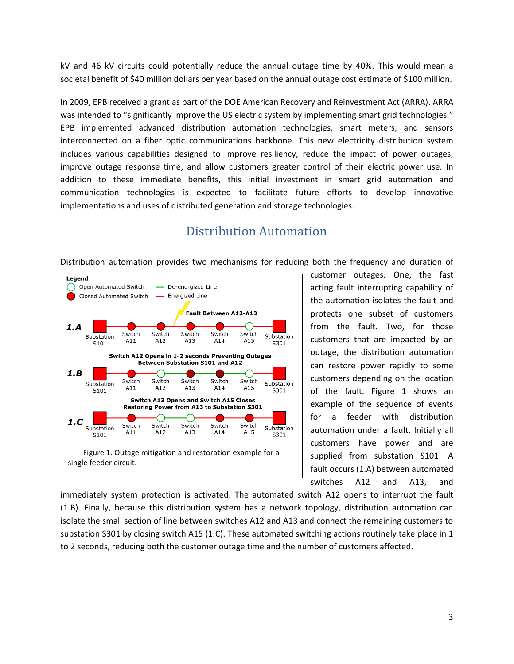kV and 46 kV circuits could potentially reduce the annual outage time by 40%. This would mean a societal benefit of \$40 million dollars per year based on the annual outage cost estimate of \$100 million.

In 2009, EPB received a grant as part of the DOE American Recovery and Reinvestment Act (ARRA). ARRA was intended to "significantly improve the US electric system by implementing smart grid technologies." EPB implemented advanced distribution automation technologies, smart meters, and sensors interconnected on a fiber optic communications backbone. This new electricity distribution system includes various capabilities designed to improve resiliency, reduce the impact of power outages, improve outage response time, and allow customers greater control of their electric power use. In addition to these immediate benefits, this initial investment in smart grid automation and communication technologies is expected to facilitate future efforts to develop innovative implementations and uses of distributed generation and storage technologies.

## Distribution Automation

Distribution automation provides two mechanisms for reducing both the frequency and duration of



customer outages. One, the fast acting fault interrupting capability of the automation isolates the fault and protects one subset of customers from the fault. Two, for those customers that are impacted by an outage, the distribution automation can restore power rapidly to some customers depending on the location of the fault. Figure 1 shows an example of the sequence of events for a feeder with distribution automation under a fault. Initially all customers have power and are supplied from substation S101. A fault occurs (1.A) between automated switches A12 and A13, and

immediately system protection is activated. The automated switch A12 opens to interrupt the fault (1.B). Finally, because this distribution system has a network topology, distribution automation can isolate the small section of line between switches A12 and A13 and connect the remaining customers to substation S301 by closing switch A15 (1.C). These automated switching actions routinely take place in 1 to 2 seconds, reducing both the customer outage time and the number of customers affected.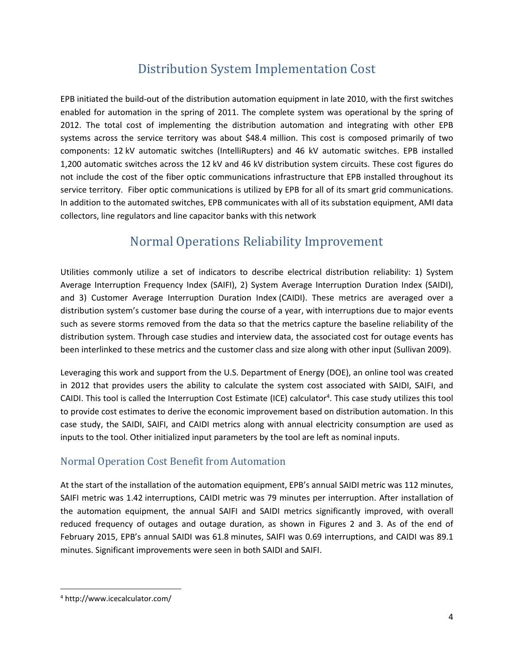# Distribution System Implementation Cost

EPB initiated the build-out of the distribution automation equipment in late 2010, with the first switches enabled for automation in the spring of 2011. The complete system was operational by the spring of 2012. The total cost of implementing the distribution automation and integrating with other EPB systems across the service territory was about \$48.4 million. This cost is composed primarily of two components: 12 kV automatic switches (IntelliRupters) and 46 kV automatic switches. EPB installed 1,200 automatic switches across the 12 kV and 46 kV distribution system circuits. These cost figures do not include the cost of the fiber optic communications infrastructure that EPB installed throughout its service territory. Fiber optic communications is utilized by EPB for all of its smart grid communications. In addition to the automated switches, EPB communicates with all of its substation equipment, AMI data collectors, line regulators and line capacitor banks with this network

# Normal Operations Reliability Improvement

Utilities commonly utilize a set of indicators to describe electrical distribution reliability: 1) System Average Interruption Frequency Index (SAIFI), 2) System Average Interruption Duration Index (SAIDI), and 3) Customer Average Interruption Duration Index (CAIDI). These metrics are averaged over a distribution system's customer base during the course of a year, with interruptions due to major events such as severe storms removed from the data so that the metrics capture the baseline reliability of the distribution system. Through case studies and interview data, the associated cost for outage events has been interlinked to these metrics and the customer class and size along with other input (Sullivan 2009).

Leveraging this work and support from the U.S. Department of Energy (DOE), an online tool was created in 2012 that provides users the ability to calculate the system cost associated with SAIDI, SAIFI, and CAIDI. This tool is called the Interruption Cost Estimate (ICE) calculator<sup>4</sup>. This case study utilizes this tool to provide cost estimates to derive the economic improvement based on distribution automation. In this case study, the SAIDI, SAIFI, and CAIDI metrics along with annual electricity consumption are used as inputs to the tool. Other initialized input parameters by the tool are left as nominal inputs.

### Normal Operation Cost Benefit from Automation

At the start of the installation of the automation equipment, EPB's annual SAIDI metric was 112 minutes, SAIFI metric was 1.42 interruptions, CAIDI metric was 79 minutes per interruption. After installation of the automation equipment, the annual SAIFI and SAIDI metrics significantly improved, with overall reduced frequency of outages and outage duration, as shown in Figures 2 and 3. As of the end of February 2015, EPB's annual SAIDI was 61.8 minutes, SAIFI was 0.69 interruptions, and CAIDI was 89.1 minutes. Significant improvements were seen in both SAIDI and SAIFI.

<sup>4</sup> http://www.icecalculator.com/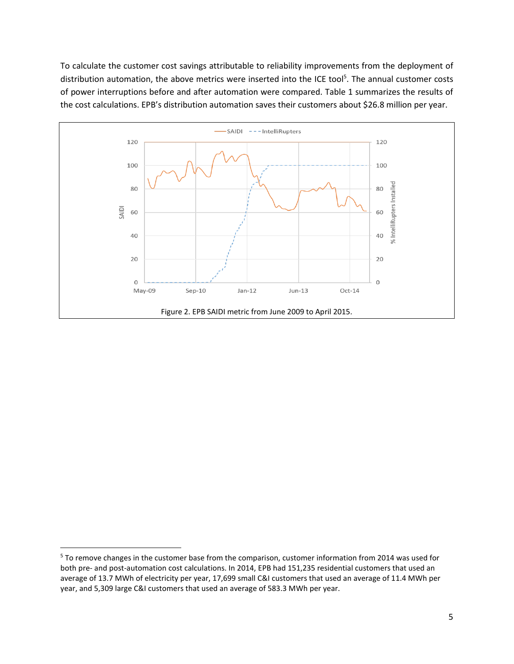To calculate the customer cost savings attributable to reliability improvements from the deployment of distribution automation, the above metrics were inserted into the ICE tool<sup>5</sup>. The annual customer costs of power interruptions before and after automation were compared. Table 1 summarizes the results of the cost calculations. EPB's distribution automation saves their customers about \$26.8 million per year.



l

<sup>&</sup>lt;sup>5</sup> To remove changes in the customer base from the comparison, customer information from 2014 was used for both pre- and post-automation cost calculations. In 2014, EPB had 151,235 residential customers that used an average of 13.7 MWh of electricity per year, 17,699 small C&I customers that used an average of 11.4 MWh per year, and 5,309 large C&I customers that used an average of 583.3 MWh per year.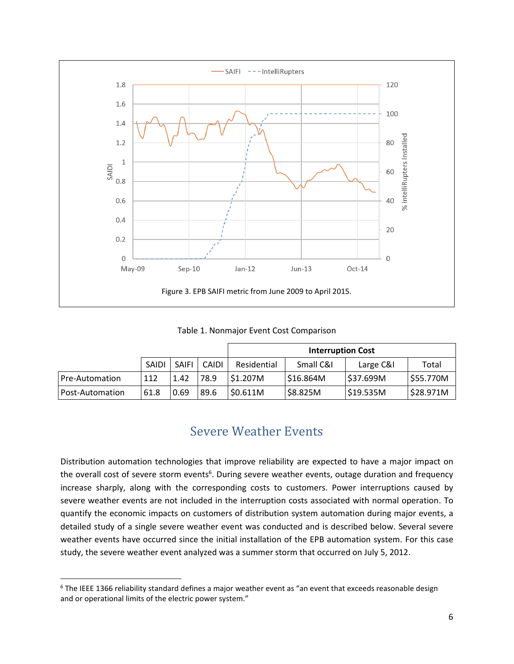

Table 1. Nonmajor Event Cost Comparison

|                 |              |              |       | <b>Interruption Cost</b> |           |           |           |
|-----------------|--------------|--------------|-------|--------------------------|-----------|-----------|-----------|
|                 | <b>SAIDI</b> | <b>SAIFI</b> | CAIDI | Residential              | Small C&I | Large C&I | Total     |
| Pre-Automation  | 112          | 1.42         | 78.9  | S1.207M                  | \$16.864M | S37.699M  | \$55.770M |
| Post-Automation | 61.8         | 0.69         | 89.6  | \$0.611M                 | \$8.825M  | \$19.535M | \$28.971M |

## Severe Weather Events

Distribution automation technologies that improve reliability are expected to have a major impact on the overall cost of severe storm events<sup>6</sup>. During severe weather events, outage duration and frequency increase sharply, along with the corresponding costs to customers. Power interruptions caused by severe weather events are not included in the interruption costs associated with normal operation. To quantify the economic impacts on customers of distribution system automation during major events, a detailed study of a single severe weather event was conducted and is described below. Several severe weather events have occurred since the initial installation of the EPB automation system. For this case study, the severe weather event analyzed was a summer storm that occurred on July 5, 2012.

l

<sup>&</sup>lt;sup>6</sup> The IEEE 1366 reliability standard defines a major weather event as "an event that exceeds reasonable design and or operational limits of the electric power system."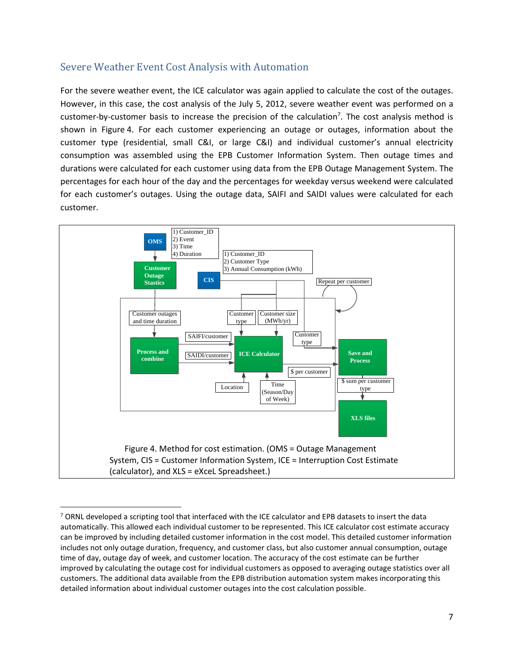#### Severe Weather Event Cost Analysis with Automation

For the severe weather event, the ICE calculator was again applied to calculate the cost of the outages. However, in this case, the cost analysis of the July 5, 2012, severe weather event was performed on a customer-by-customer basis to increase the precision of the calculation<sup>7</sup>. The cost analysis method is shown in Figure 4. For each customer experiencing an outage or outages, information about the customer type (residential, small C&I, or large C&I) and individual customer's annual electricity consumption was assembled using the EPB Customer Information System. Then outage times and durations were calculated for each customer using data from the EPB Outage Management System. The percentages for each hour of the day and the percentages for weekday versus weekend were calculated for each customer's outages. Using the outage data, SAIFI and SAIDI values were calculated for each customer.



<sup>&</sup>lt;sup>7</sup> ORNL developed a scripting tool that interfaced with the ICE calculator and EPB datasets to insert the data automatically. This allowed each individual customer to be represented. This ICE calculator cost estimate accuracy can be improved by including detailed customer information in the cost model. This detailed customer information includes not only outage duration, frequency, and customer class, but also customer annual consumption, outage time of day, outage day of week, and customer location. The accuracy of the cost estimate can be further improved by calculating the outage cost for individual customers as opposed to averaging outage statistics over all customers. The additional data available from the EPB distribution automation system makes incorporating this detailed information about individual customer outages into the cost calculation possible.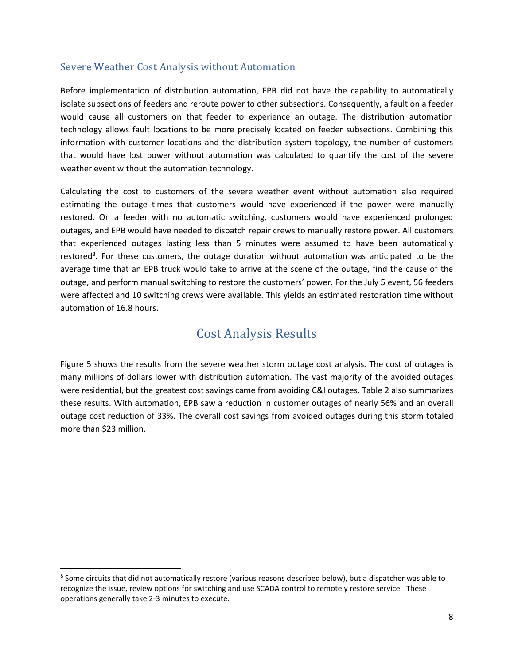#### Severe Weather Cost Analysis without Automation

Before implementation of distribution automation, EPB did not have the capability to automatically isolate subsections of feeders and reroute power to other subsections. Consequently, a fault on a feeder would cause all customers on that feeder to experience an outage. The distribution automation technology allows fault locations to be more precisely located on feeder subsections. Combining this information with customer locations and the distribution system topology, the number of customers that would have lost power without automation was calculated to quantify the cost of the severe weather event without the automation technology.

Calculating the cost to customers of the severe weather event without automation also required estimating the outage times that customers would have experienced if the power were manually restored. On a feeder with no automatic switching, customers would have experienced prolonged outages, and EPB would have needed to dispatch repair crews to manually restore power. All customers that experienced outages lasting less than 5 minutes were assumed to have been automatically restored<sup>8</sup>. For these customers, the outage duration without automation was anticipated to be the average time that an EPB truck would take to arrive at the scene of the outage, find the cause of the outage, and perform manual switching to restore the customers' power. For the July 5 event, 56 feeders were affected and 10 switching crews were available. This yields an estimated restoration time without automation of 16.8 hours.

## Cost Analysis Results

Figure 5 shows the results from the severe weather storm outage cost analysis. The cost of outages is many millions of dollars lower with distribution automation. The vast majority of the avoided outages were residential, but the greatest cost savings came from avoiding C&I outages. Table 2 also summarizes these results. With automation, EPB saw a reduction in customer outages of nearly 56% and an overall outage cost reduction of 33%. The overall cost savings from avoided outages during this storm totaled more than \$23 million.

<sup>&</sup>lt;sup>8</sup> Some circuits that did not automatically restore (various reasons described below), but a dispatcher was able to recognize the issue, review options for switching and use SCADA control to remotely restore service. These operations generally take 2-3 minutes to execute.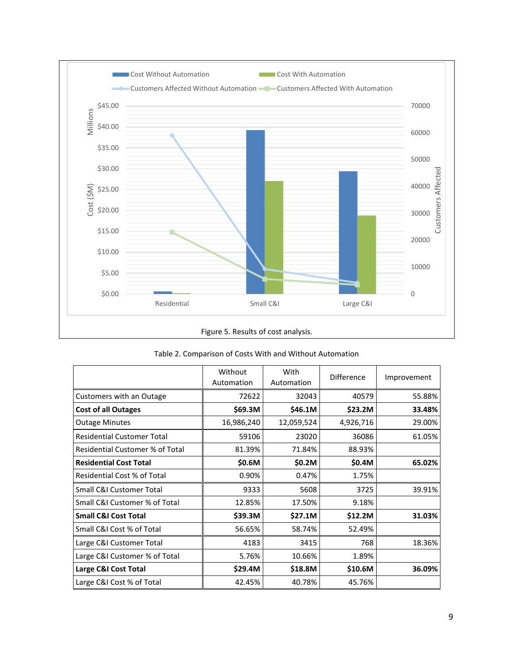

|                                   | Without<br>Automation | With<br>Automation | <b>Difference</b> | Improvement |
|-----------------------------------|-----------------------|--------------------|-------------------|-------------|
| Customers with an Outage          | 72622                 | 32043              | 40579             | 55.88%      |
| <b>Cost of all Outages</b>        | \$69.3M               | \$46.1M            | \$23.2M           | 33.48%      |
| <b>Outage Minutes</b>             | 16,986,240            | 12,059,524         | 4,926,716         | 29.00%      |
| <b>Residential Customer Total</b> | 59106                 | 23020              | 36086             | 61.05%      |
| Residential Customer % of Total   | 81.39%                | 71.84%             | 88.93%            |             |
| <b>Residential Cost Total</b>     | \$0.6M                | \$0.2M             | \$0.4M            | 65.02%      |
| Residential Cost % of Total       | 0.90%                 | 0.47%              | 1.75%             |             |
| Small C&I Customer Total          | 9333                  | 5608               | 3725              | 39.91%      |
| Small C&I Customer % of Total     | 12.85%                | 17.50%             | 9.18%             |             |
| <b>Small C&amp;I Cost Total</b>   | \$39.3M               | \$27.1M            | \$12.2M           | 31.03%      |
| Small C&I Cost % of Total         | 56.65%                | 58.74%             | 52.49%            |             |
| Large C&I Customer Total          | 4183                  | 3415               | 768               | 18.36%      |
| Large C&I Customer % of Total     | 5.76%                 | 10.66%             | 1.89%             |             |
| Large C&I Cost Total              | \$29.4M               | \$18.8M            | \$10.6M           | 36.09%      |
| Large C&I Cost % of Total         | 42.45%                | 40.78%             | 45.76%            |             |

#### Table 2. Comparison of Costs With and Without Automation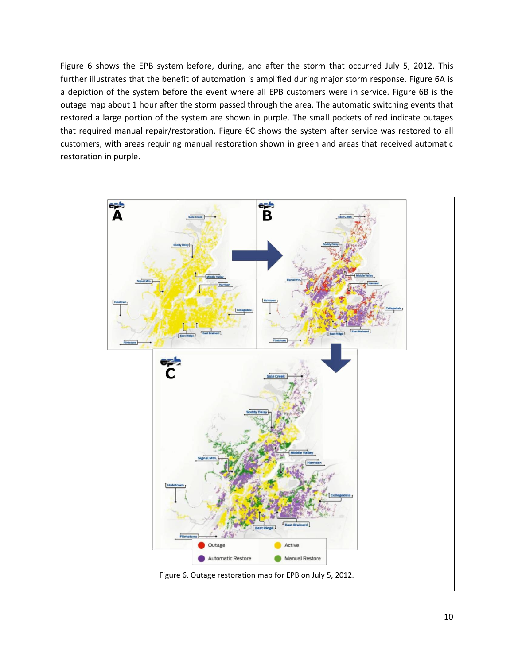Figure 6 shows the EPB system before, during, and after the storm that occurred July 5, 2012. This further illustrates that the benefit of automation is amplified during major storm response. Figure 6A is a depiction of the system before the event where all EPB customers were in service. Figure 6B is the outage map about 1 hour after the storm passed through the area. The automatic switching events that restored a large portion of the system are shown in purple. The small pockets of red indicate outages that required manual repair/restoration. Figure 6C shows the system after service was restored to all customers, with areas requiring manual restoration shown in green and areas that received automatic restoration in purple.